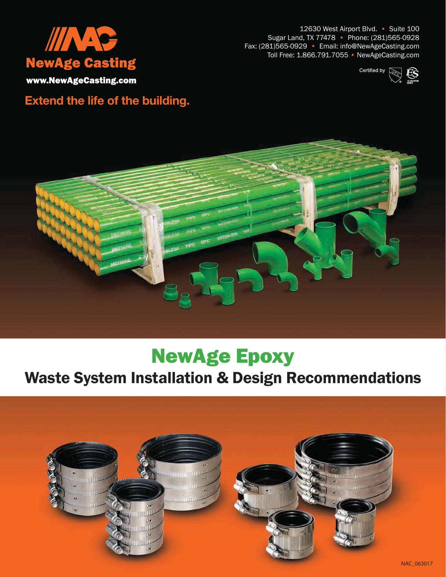

12630 West Airport Blvd. • Suite 100 Sugar Land, TX 77478 • Phone: (281)565-0928 Fax: (281)565-0929 • Email: info@NewAgeCasting.com Toll Free: 1.866.791.7055 • NewAgeCasting.com



www.NewAgeCasting.com

### **Extend the life of the building.**



### NewAge Epoxy

### Waste System Installation & Design Recommendations

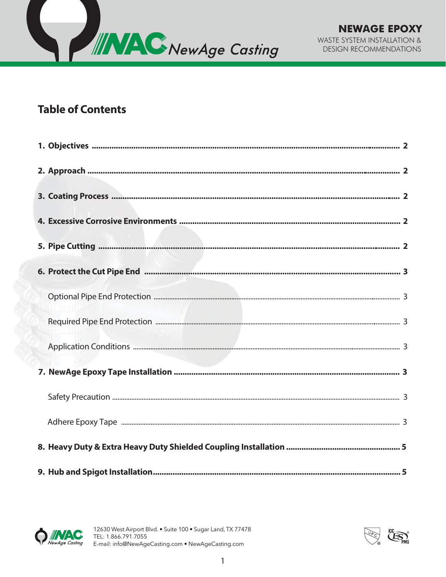

#### **Table of Contents**



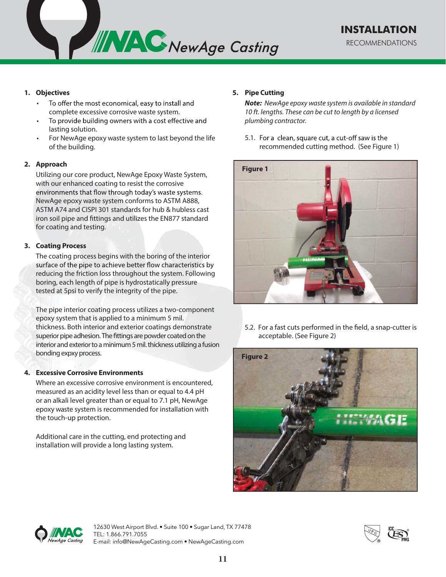

#### **1. Objectives**

- To offer the most economical, easy to install and complete excessive corrosive waste system.
- To provide building owners with a cost effective and lasting solution.
- For NewAge epoxy waste system to last beyond the life of the building.

#### **2. Approach**

Utilizing our core product, NewAge Epoxy Waste System, with our enhanced coating to resist the corrosive environments that flow through today's waste systems. NewAge epoxy waste system conforms to ASTM A888, ASTM A74 and CISPI 301 standards for hub & hubless cast iron soil pipe and fittings and utilizes the EN877 standard for coating and testing.

#### **3. Coating Process**

The coating process begins with the boring of the interior surface of the pipe to achieve better flow characteristics by reducing the friction loss throughout the system. Following boring, each length of pipe is hydrostatically pressure tested at 5psi to verify the integrity of the pipe.

The pipe interior coating process utilizes a two-component epoxy system that is applied to a minimum 5 mil. thickness. Both interior and exterior coatings demonstrate superior pipe adhesion. The fittings are powder coated on the interior and exterior to a minimum 5 mil. thickness utilizing a fusion bonding expxy process.

#### **4. Excessive Corrosive Environments**

Where an excessive corrosive environment is encountered, measured as an acidity level less than or equal to 4.4 pH or an alkali level greater than or equal to 7.1 pH, NewAge epoxy waste system is recommended for installation with the touch-up protection.

Additional care in the cutting, end protecting and installation will provide a long lasting system.

#### **Pipe Cutting 5.**

**Note:** NewAge epoxy waste system is available in standard 10 ft. lengths. These can be cut to length by a licensed plumbing contractor.

5.1. For a clean, square cut, a cut-off saw is the recommended cutting method. (See Figure 1)



5.2. For a fast cuts performed in the field, a snap-cutter is acceptable. (See Figure 2)





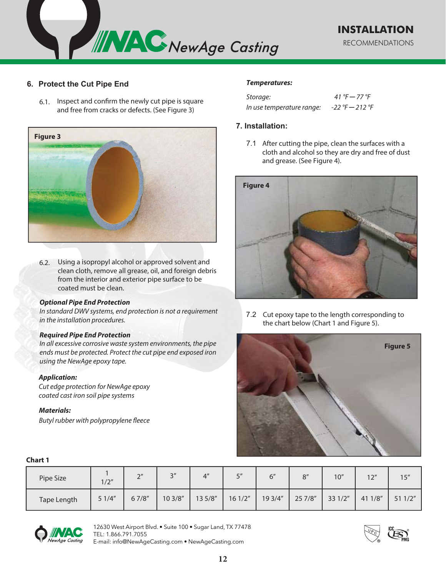

#### **6. Protect the Cut Pipe End**

6.1. Inspect and confirm the newly cut pipe is square and free from cracks or defects. (See Figure 3)



6.2. Using a isopropyl alcohol or approved solvent and clean cloth, remove all grease, oil, and foreign debris from the interior and exterior pipe surface to be coated must be clean.

#### **Optional Pipe End Protection**

In standard DWV systems, end protection is not a requirement in the installation procedures.

#### **Required Pipe End Protection**

In all excessive corrosive waste system environments, the pipe ends must be protected. Protect the cut pipe end exposed iron using the NewAge epoxy tape.

#### **Application:**

Cut edge protection for NewAge epoxy coated cast iron soil pipe systems

#### **Materials:**

Butyl rubber with polypropylene fleece

#### **Temperatures:**

| Storage:                  | 41 °F $-$ 77 °F     |
|---------------------------|---------------------|
| In use temperature range: | $-22$ °F $- 212$ °F |

#### **7.** Installation:

7.1 After cutting the pipe, clean the surfaces with a cloth and alcohol so they are dry and free of dust and grease. (See Figure 4).



7.2 Cut epoxy tape to the length corresponding to the chart below (Chart 1 and Figure 5).



#### **Chart 1**

| -------     |       |               |          |                 |                   |         |         |         |         |        |
|-------------|-------|---------------|----------|-----------------|-------------------|---------|---------|---------|---------|--------|
| Pipe Size   | 1/2"  | $\gamma$<br>∸ | 2''<br>ٮ | 4 <sup>''</sup> | $\mathbf{r}$<br>ٮ | 6''     | O''     | 10"     | 12"     | 15''   |
| Tape Length | 51/4" | 67/8"         | 10 3/8"  | 13 5/8"         | 161/2"            | 19 3/4" | 25 7/8" | 33 1/2" | 41 1/8" | 511/2" |



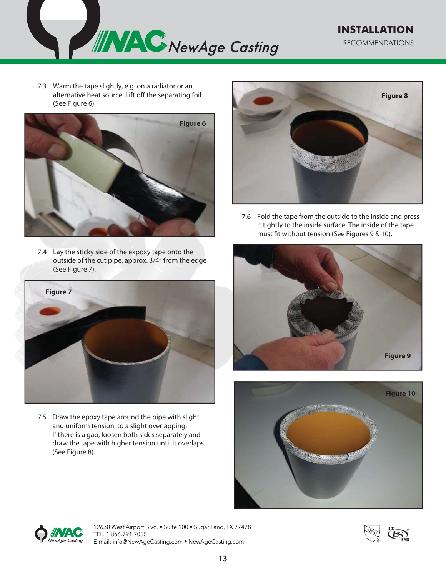

7.3 Warm the tape slightly, e.g. on a radiator or an alternative heat source. Lift off the separating foil (See Figure 6).



7.4 Lay the sticky side of the expoxy tape onto the outside of the cut pipe, approx. 3/4" from the edge (See Figure 7).



7.5 Draw the epoxy tape around the pipe with slight and uniform tension, to a slight overlapping. If there is a gap, loosen both sides separately and draw the tape with higher tension until it overlaps (See Figure 8).



7.6 Fold the tape from the outside to the inside and press it tightly to the inside surface. The inside of the tape must fit without tension (See Figures 9 & 10).







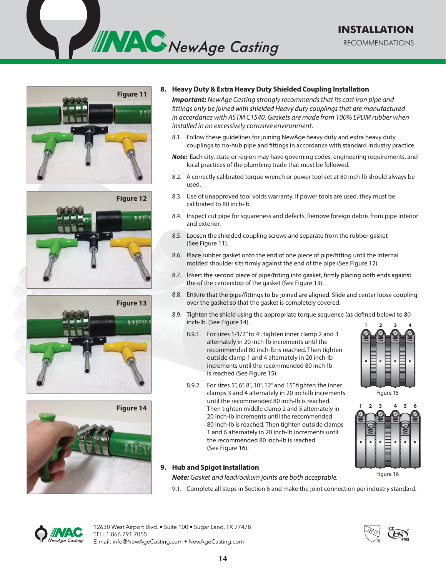









#### **8. Heavy Duty & Extra Heavy Duty Shielded Coupling Installation**

**Important:** NewAge Casting strongly recommends that its cast iron pipe and fittings only be joined with shielded Heavy duty couplings that are manufactured in accordance with ASTM C1540. Gaskets are made from 100% EPDM rubber when installed in an excessively corrosive environment.

- 8.1. Follow these guidelines for joining NewAge heavy duty and extra heavy duty couplings to no-hub pipe and fittings in accordance with standard industry practice.
- **Note:** Each city, state or region may have governing codes, engineering requirements, and local practices of the plumbing trade that must be followed.
- 8.2. A correctly calibrated torque wrench or power tool set at 80 inch-lb should always be used.
- 8.3. Use of unapproved tool voids warranty. If power tools are used, they must be calibrated to 80 inch-lb.
- 8.4. Inspect cut pipe for squareness and defects. Remove foreign debris from pipe interior and exterior.
- 8.5. Loosen the shielded coupling screws and separate from the rubber gasket (See Figure 11).
- 8.6. Place rubber gasket onto the end of one piece of pipe/fitting until the internal molded shoulder sits firmly against the end of the pipe (See Figure 12).
- 8.7. Insert the second piece of pipe/fitting into gasket, firmly placing both ends against the of the centerstop of the gasket (See Figure 13).
- 8.8. Ensure that the pipe/fittings to be joined are aligned. Slide and center loose coupling over the gasket so that the gasket is completely covered.
- 8.9. Tighten the shield using the appropriate torque sequence (as defined below) to 80 inch-lb. (See Figure 14).
	- 8.9.1. For sizes 1-1/2" to 4", tighten inner clamp 2 and 3 alternately in 20 inch-lb increments until the recommended 80 inch-lb is reached. Then tighten outside clamp 1 and 4 alternately in 20 inch-lb increments until the recommended 80 inch-lb is reached (See Figure 15).
	- 8.9.2. For sizes 5", 6", 8", 10", 12" and 15" tighten the inner clamps 3 and 4 alternately in 20 inch-lb increments until the recommended 80 inch-lb is reached. Then tighten middle clamp 2 and 5 alternately in 20 inch-lb increments until the recommended 80 inch-lb is reached. Then tighten outside clamps 1 and 6 alternately in 20 inch-lb increments until the recommended 80 inch-lb is reached (See Figure 16).

#### **9. Hub and Spigot Installation**

**Note:** Gasket and lead/oakum joints are both acceptable.

9.1. Complete all steps in Section 6 and make the joint connection per industry standard.











Figure 16